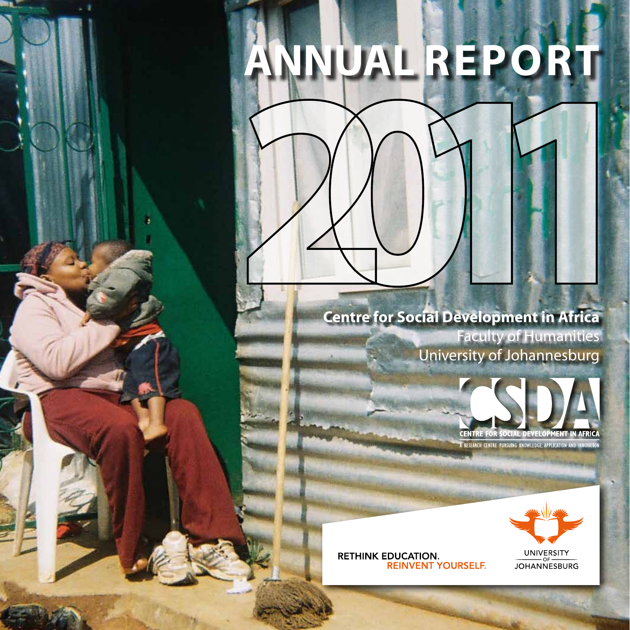# **ANNUAL REPORT**

# **Centre for Social Development in Africa** Faculty of Humanities Centre for Social Development in Africa

University of Johannesburg





**RETHINK EDUCATION. REINVENT YOURSELF.**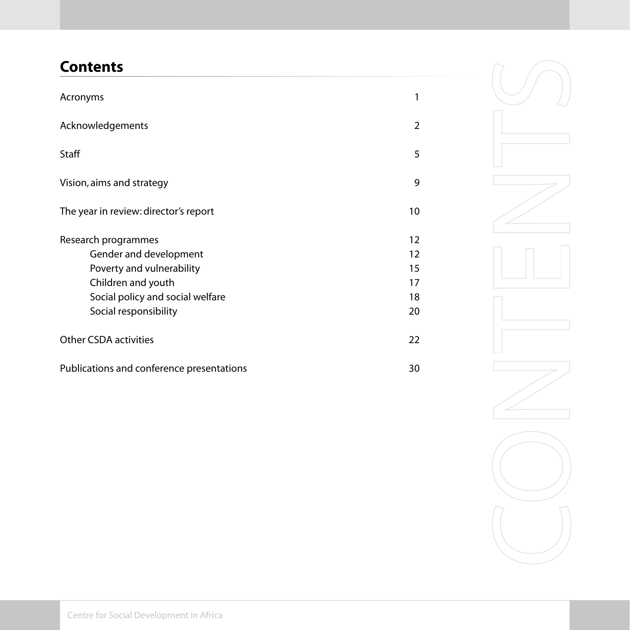# **Contents**

| Acronyms                                                                                                                                                      | 1                                |
|---------------------------------------------------------------------------------------------------------------------------------------------------------------|----------------------------------|
| Acknowledgements                                                                                                                                              | $\mathcal{P}$                    |
| Staff                                                                                                                                                         | 5                                |
| Vision, aims and strategy                                                                                                                                     | 9                                |
| The year in review: director's report                                                                                                                         | 10                               |
| Research programmes<br>Gender and development<br>Poverty and vulnerability<br>Children and youth<br>Social policy and social welfare<br>Social responsibility | 12<br>12<br>15<br>17<br>18<br>20 |
| <b>Other CSDA activities</b>                                                                                                                                  | 22                               |
| Publications and conference presentations                                                                                                                     | 30                               |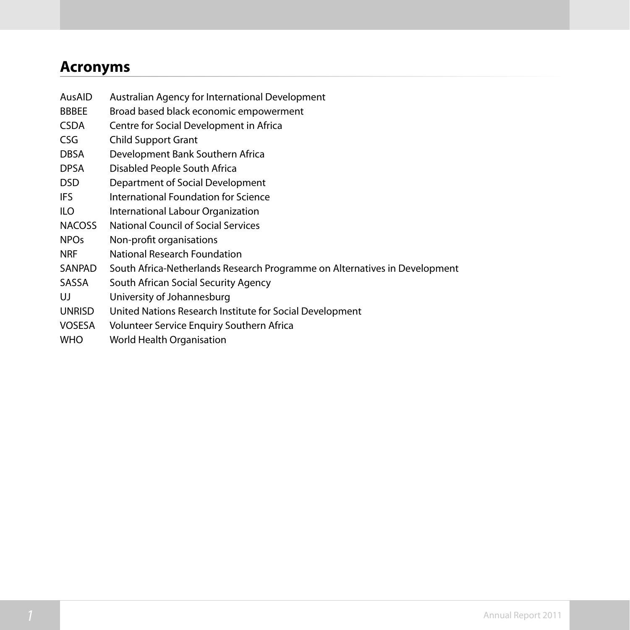# **Acronyms**

- AusAID Australian Agency for International Development
- BBBEE Broad based black economic empowerment
- CSDA Centre for Social Development in Africa
- CSG Child Support Grant
- DBSA Development Bank Southern Africa
- DPSA Disabled People South Africa
- DSD Department of Social Development
- IFS International Foundation for Science
- ILO International Labour Organization
- NACOSS National Council of Social Services
- NPOs Non-profit organisations
- NRF National Research Foundation
- SANPAD South Africa-Netherlands Research Programme on Alternatives in Development
- SASSA South African Social Security Agency
- UJ University of Johannesburg
- UNRISD United Nations Research Institute for Social Development
- VOSESA Volunteer Service Enquiry Southern Africa
- WHO World Health Organisation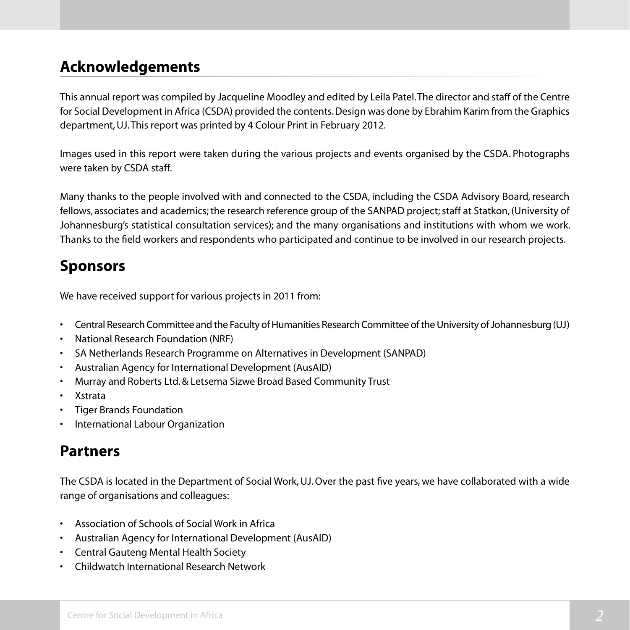# **Acknowledgements**

This annual report was compiled by Jacqueline Moodley and edited by Leila Patel. The director and staff of the Centre for Social Development in Africa (CSDA) provided the contents. Design was done by Ebrahim Karim from the Graphics department, UJ. This report was printed by 4 Colour Print in February 2012.

Images used in this report were taken during the various projects and events organised by the CSDA. Photographs were taken by CSDA staff.

Many thanks to the people involved with and connected to the CSDA, including the CSDA Advisory Board, research fellows, associates and academics; the research reference group of the SANPAD project; staff at Statkon, (University of Johannesburg's statistical consultation services); and the many organisations and institutions with whom we work. Thanks to the field workers and respondents who participated and continue to be involved in our research projects.

# **Sponsors**

We have received support for various projects in 2011 from:

- Central Research Committee and the Faculty of Humanities Research Committee of the University of Johannesburg (UJ)
- • National Research Foundation (NRF)
- • SA Netherlands Research Programme on Alternatives in Development (SANPAD)
- Australian Agency for International Development (AusAID)
- • Murray and Roberts Ltd.& Letsema Sizwe Broad Based Community Trust
- • Xstrata
- **Tiger Brands Foundation**
- International Labour Organization

# **Partners**

The CSDA is located in the Department of Social Work, UJ. Over the past five years, we have collaborated with a wide range of organisations and colleagues:

- • Association of Schools of Social Work in Africa
- • Australian Agency for International Development (AusAID)
- • Central Gauteng Mental Health Society
- • Childwatch International Research Network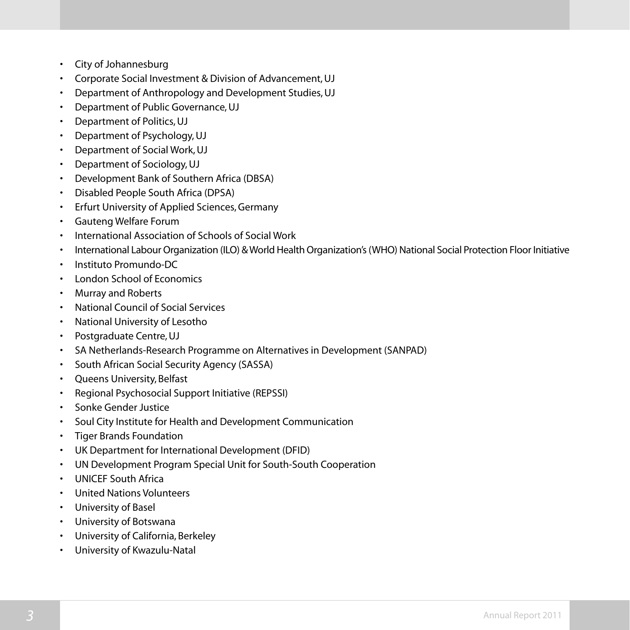- • City of Johannesburg
- • Corporate Social Investment & Division of Advancement,UJ
- Department of Anthropology and Development Studies, UJ
- Department of Public Governance, UJ
- • Department of Politics,UJ
- Department of Psychology, UJ
- Department of Social Work, UJ
- Department of Sociology, UJ
- • Development Bank of Southern Africa (DBSA)
- **Disabled People South Africa (DPSA)**
- • Erfurt University of Applied Sciences,Germany
- • Gauteng Welfare Forum
- • International Association of Schools of Social Work
- International Labour Organization (ILO) & World Health Organization's (WHO) National Social Protection Floor Initiative
- Instituto Promundo-DC
- London School of Economics
- • Murray and Roberts
- • National Council of Social Services
- • National University of Lesotho
- • Postgraduate Centre,UJ
- • SA Netherlands-Research Programme on Alternatives in Development (SANPAD)
- • South African Social Security Agency (SASSA)
- • Queens University, Belfast
- Regional Psychosocial Support Initiative (REPSSI)
- • Sonke Gender Justice
- • Soul City Institute for Health and Development Communication
- • Tiger Brands Foundation
- UK Department for International Development (DFID)
- • UN Development Program Special Unit for South-South Cooperation
- • UNICEF South Africa
- • United Nations Volunteers
- • University of Basel
- • University of Botswana
- • University of California, Berkeley
- • University of Kwazulu-Natal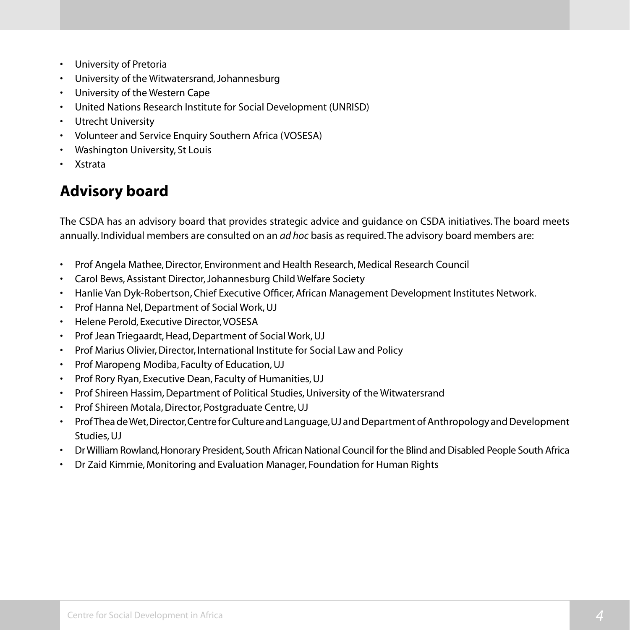- • University of Pretoria
- • University of the Witwatersrand,Johannesburg
- • University of the Western Cape
- • United Nations Research Institute for Social Development (UNRISD)
- • Utrecht University
- • Volunteer and Service Enquiry Southern Africa (VOSESA)
- • Washington University, St Louis
- • Xstrata

# **Advisory board**

The CSDA has an advisory board that provides strategic advice and guidance on CSDA initiatives. The board meets annually. Individual members are consulted on an *ad hoc* basis as required. The advisory board members are:

- • Prof Angela Mathee,Director, Environment and Health Research, Medical Research Council
- Carol Bews, Assistant Director, Johannesburg Child Welfare Society
- Hanlie Van Dyk-Robertson, Chief Executive Officer, African Management Development Institutes Network.
- Prof Hanna Nel, Department of Social Work, UJ
- • Helene Perold, Executive Director,VOSESA
- Prof Jean Triegaardt, Head, Department of Social Work, UJ
- Prof Marius Olivier, Director, International Institute for Social Law and Policy
- • Prof Maropeng Modiba, Faculty of Education,UJ
- • Prof Rory Ryan, Executive Dean, Faculty of Humanities,UJ
- Prof Shireen Hassim, Department of Political Studies, University of the Witwatersrand
- Prof Shireen Motala, Director, Postgraduate Centre, UJ
- Prof Thea de Wet, Director, Centre for Culture and Language, UJ and Department of Anthropology and Development Studies, UJ
- • DrWilliam Rowland,Honorary President,South African National Council for the Blind and Disabled People South Africa
- • Dr Zaid Kimmie, Monitoring and Evaluation Manager, Foundation for Human Rights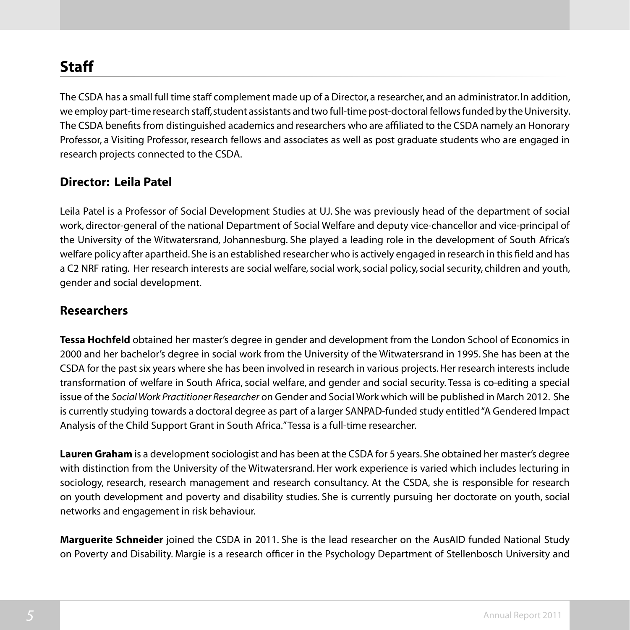# **Staff**

The CSDA has a small full time staff complement made up of a Director, a researcher, and an administrator. In addition, we employ part-time research staff, student assistants and two full-time post-doctoral fellows funded by the University. The CSDA benefits from distinguished academics and researchers who are affiliated to the CSDA namely an Honorary Professor, a Visiting Professor, research fellows and associates as well as post graduate students who are engaged in research projects connected to the CSDA.

#### **Director: Leila Patel**

Leila Patel is a Professor of Social Development Studies at UJ. She was previously head of the department of social work, director-general of the national Department of Social Welfare and deputy vice-chancellor and vice-principal of the University of the Witwatersrand, Johannesburg. She played a leading role in the development of South Africa's welfare policy after apartheid. She is an established researcher who is actively engaged in research in this field and has a C2 NRF rating. Her research interests are social welfare, social work, social policy, social security, children and youth, gender and social development.

#### **Researchers**

**Tessa Hochfeld** obtained her master's degree in gender and development from the London School of Economics in 2000 and her bachelor's degree in social work from the University of the Witwatersrand in 1995. She has been at the CSDA for the past six years where she has been involved in research in various projects.Her research interests include transformation of welfare in South Africa, social welfare, and gender and social security. Tessa is co-editing a special issue of the *Social Work Practitioner Researcher* on Gender and Social Work which will be published in March 2012. She is currently studying towards a doctoral degree as part of a larger SANPAD-funded study entitled "A Gendered Impact Analysis of the Child Support Grant in South Africa." Tessa is a full-time researcher.

**Lauren Graham** is a development sociologist and has been at the CSDA for 5 years. She obtained her master's degree with distinction from the University of the Witwatersrand. Her work experience is varied which includes lecturing in sociology, research, research management and research consultancy. At the CSDA, she is responsible for research on youth development and poverty and disability studies. She is currently pursuing her doctorate on youth, social networks and engagement in risk behaviour.

**Marguerite Schneider** joined the CSDA in 2011. She is the lead researcher on the AusAID funded National Study on Poverty and Disability. Margie is a research officer in the Psychology Department of Stellenbosch University and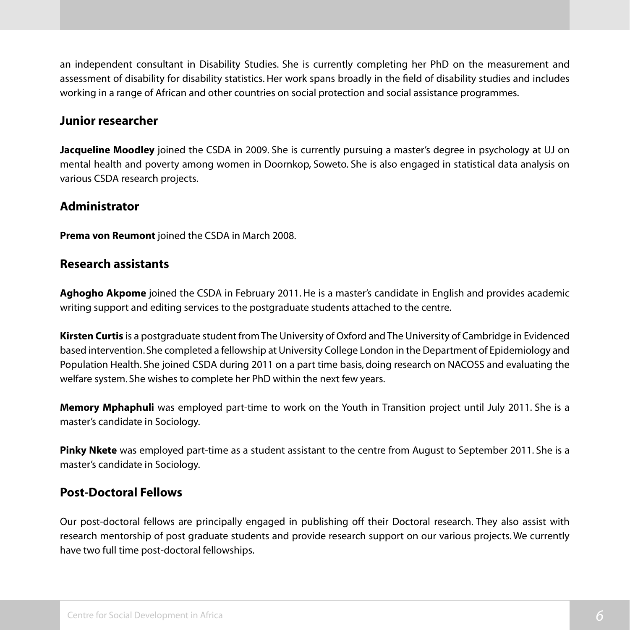an independent consultant in Disability Studies. She is currently completing her PhD on the measurement and assessment of disability for disability statistics. Her work spans broadly in the field of disability studies and includes working in a range of African and other countries on social protection and social assistance programmes.

#### **Junior researcher**

**Jacqueline Moodley** joined the CSDA in 2009. She is currently pursuing a master's degree in psychology at UJ on mental health and poverty among women in Doornkop, Soweto. She is also engaged in statistical data analysis on various CSDA research projects.

#### **Administrator**

**Prema von Reumont** joined the CSDA in March 2008.

#### **Research assistants**

**Aghogho Akpome** joined the CSDA in February 2011. He is a master's candidate in English and provides academic writing support and editing services to the postgraduate students attached to the centre.

**Kirsten Curtis** is a postgraduate student from The University of Oxford and The University of Cambridge in Evidenced based intervention. She completed a fellowship at University College London in the Department of Epidemiology and Population Health. She joined CSDA during 2011 on a part time basis, doing research on NACOSS and evaluating the welfare system. She wishes to complete her PhD within the next few years.

**Memory Mphaphuli** was employed part-time to work on the Youth in Transition project until July 2011. She is a master's candidate in Sociology.

**Pinky Nkete** was employed part-time as a student assistant to the centre from August to September 2011. She is a master's candidate in Sociology.

#### **Post-Doctoral Fellows**

Our post-doctoral fellows are principally engaged in publishing off their Doctoral research. They also assist with research mentorship of post graduate students and provide research support on our various projects. We currently have two full time post-doctoral fellowships.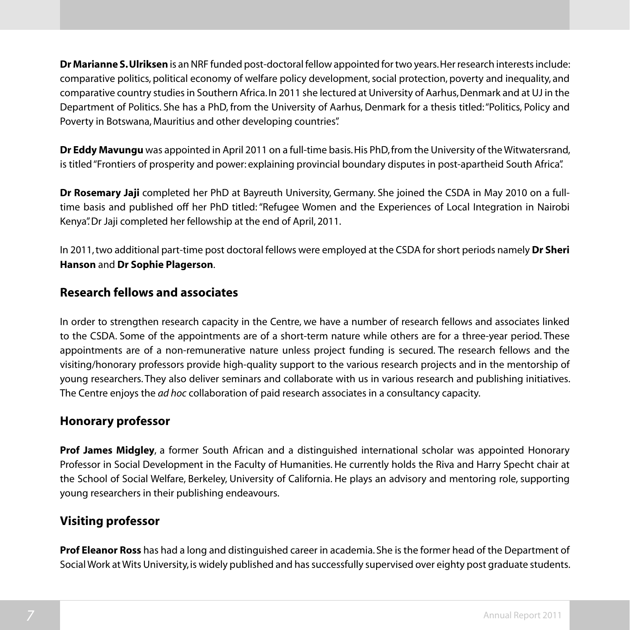**Dr Marianne S. Ulriksen** is an NRF funded post-doctoral fellow appointed for two years. Her research interests include: comparative politics, political economy of welfare policy development, social protection, poverty and inequality, and comparative country studies in Southern Africa. In 2011 she lectured at University of Aarhus, Denmark and at UJ in the Department of Politics. She has a PhD, from the University of Aarhus, Denmark for a thesis titled: "Politics, Policy and Poverty in Botswana, Mauritius and other developing countries".

**Dr Eddy Mavungu** was appointed in April 2011 on a full-time basis. His PhD, from the University of the Witwatersrand, is titled"Frontiers of prosperity and power: explaining provincial boundary disputes in post-apartheid South Africa".

**Dr Rosemary Jaji** completed her PhD at Bayreuth University, Germany. She joined the CSDA in May 2010 on a fulltime basis and published off her PhD titled:"Refugee Women and the Experiences of Local Integration in Nairobi Kenya". Dr Jaji completed her fellowship at the end of April, 2011.

In 2011, two additional part-time post doctoral fellows were employed at the CSDA for short periods namely **Dr Sheri Hanson** and **Dr Sophie Plagerson**.

#### **Research fellows and associates**

In order to strengthen research capacity in the Centre, we have a number of research fellows and associates linked to the CSDA. Some of the appointments are of a short-term nature while others are for a three-year period. These appointments are of a non-remunerative nature unless project funding is secured. The research fellows and the visiting/honorary professors provide high-quality support to the various research projects and in the mentorship of young researchers. They also deliver seminars and collaborate with us in various research and publishing initiatives. The Centre enjoys the *ad hoc* collaboration of paid research associates in a consultancy capacity.

#### **Honorary professor**

**Prof James Midgley**, a former South African and a distinguished international scholar was appointed Honorary Professor in Social Development in the Faculty of Humanities. He currently holds the Riva and Harry Specht chair at the School of Social Welfare, Berkeley, University of California. He plays an advisory and mentoring role, supporting young researchers in their publishing endeavours.

#### **Visiting professor**

**Prof Eleanor Ross** has had a long and distinguished career in academia. She is the former head of the Department of Social Work at Wits University, is widely published and has successfully supervised over eighty post graduate students.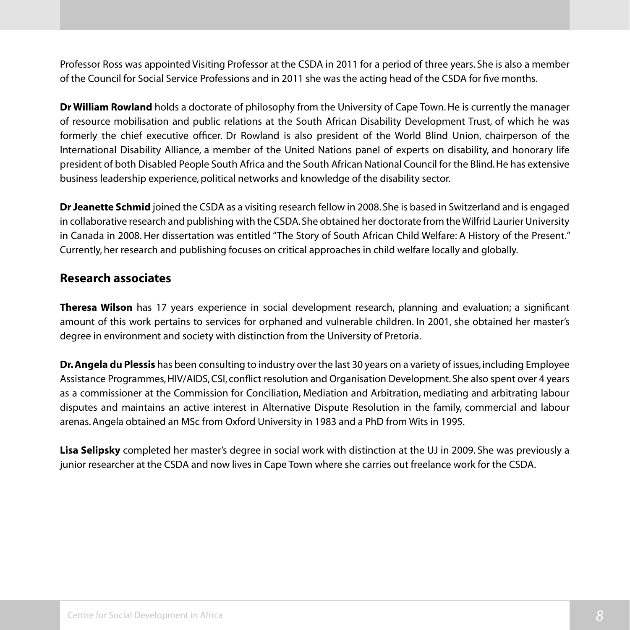Professor Ross was appointed Visiting Professor at the CSDA in 2011 for a period of three years. She is also a member of the Council for Social Service Professions and in 2011 she was the acting head of the CSDA for five months.

**Dr William Rowland** holds a doctorate of philosophy from the University of Cape Town. He is currently the manager of resource mobilisation and public relations at the South African Disability Development Trust, of which he was formerly the chief executive officer. Dr Rowland is also president of the World Blind Union, chairperson of the International Disability Alliance, a member of the United Nations panel of experts on disability, and honorary life president of both Disabled People South Africa and the South African National Council for the Blind.He has extensive business leadership experience, political networks and knowledge of the disability sector.

**Dr Jeanette Schmid** joined the CSDA as a visiting research fellow in 2008. She is based in Switzerland and is engaged in collaborative research and publishing with the CSDA. She obtained her doctorate from the Wilfrid Laurier University in Canada in 2008. Her dissertation was entitled "The Story of South African Child Welfare: A History of the Present." Currently, her research and publishing focuses on critical approaches in child welfare locally and globally.

#### **Research associates**

**Theresa Wilson** has 17 years experience in social development research, planning and evaluation; a significant amount of this work pertains to services for orphaned and vulnerable children. In 2001, she obtained her master's degree in environment and society with distinction from the University of Pretoria.

**Dr. Angela du Plessis** has been consulting to industry over the last 30 years on a variety of issues, including Employee Assistance Programmes, HIV/AIDS, CSI, conflict resolution and Organisation Development. She also spent over 4 years as a commissioner at the Commission for Conciliation, Mediation and Arbitration, mediating and arbitrating labour disputes and maintains an active interest in Alternative Dispute Resolution in the family, commercial and labour arenas.Angela obtained an MSc from Oxford University in 1983 and a PhD from Wits in 1995.

**Lisa Selipsky** completed her master's degree in social work with distinction at the UJ in 2009. She was previously a junior researcher at the CSDA and now lives in Cape Town where she carries out freelance work for the CSDA.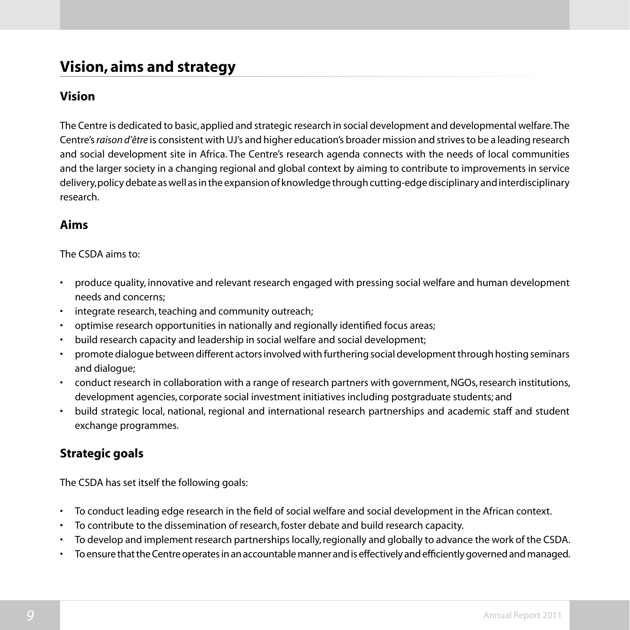# **Vision, aims and strategy**

#### **Vision**

The Centre is dedicated to basic, applied and strategic research in social development and developmental welfare. The Centre's *raison d'être* is consistent with UJ's and higher education's broader mission and strives to be a leading research and social development site in Africa. The Centre's research agenda connects with the needs of local communities and the larger society in a changing regional and global context by aiming to contribute to improvements in service delivery, policy debate as well as in the expansion of knowledge through cutting-edge disciplinary and interdisciplinary research.

#### **Aims**

#### The CSDA aims to:

- • produce quality, innovative and relevant research engaged with pressing social welfare and human development needs and concerns;
- integrate research, teaching and community outreach;
- optimise research opportunities in nationally and regionally identified focus areas;
- build research capacity and leadership in social welfare and social development;
- promote dialogue between different actors involved with furthering social development through hosting seminars and dialogue;
- conduct research in collaboration with a range of research partners with government, NGOs, research institutions, development agencies, corporate social investment initiatives including postgraduate students; and
- build strategic local, national, regional and international research partnerships and academic staff and student exchange programmes.

#### **Strategic goals**

The CSDA has set itself the following goals:

- • To conduct leading edge research in the field of social welfare and social development in the African context.
- To contribute to the dissemination of research, foster debate and build research capacity.
- To develop and implement research partnerships locally, regionally and globally to advance the work of the CSDA.
- To ensure that the Centre operates in an accountable manner and is effectively and efficiently governed and managed.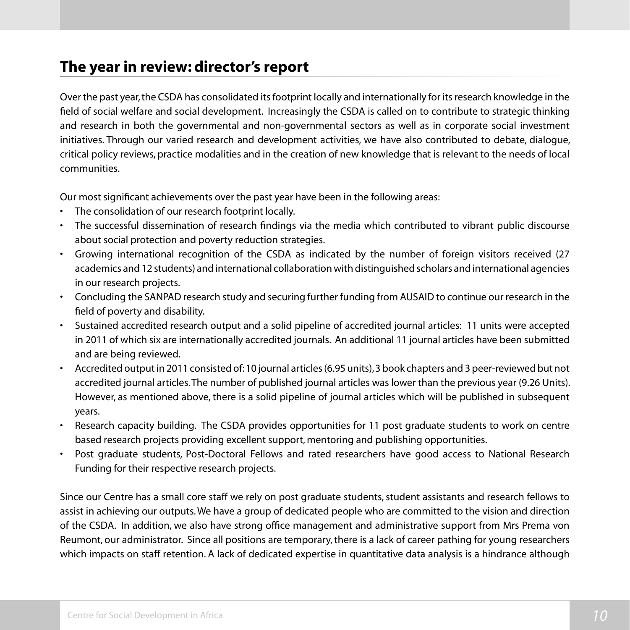# **The year in review: director's report**

Over the past year, the CSDA has consolidated its footprint locally and internationally for its research knowledge in the field of social welfare and social development. Increasingly the CSDA is called on to contribute to strategic thinking and research in both the governmental and non-governmental sectors as well as in corporate social investment initiatives. Through our varied research and development activities, we have also contributed to debate, dialogue, critical policy reviews, practice modalities and in the creation of new knowledge that is relevant to the needs of local communities.

Our most significant achievements over the past year have been in the following areas:

- The consolidation of our research footprint locally.
- • The successful dissemination of research findings via the media which contributed to vibrant public discourse about social protection and poverty reduction strategies.
- • Growing international recognition of the CSDA as indicated by the number of foreign visitors received (27 academics and 12 students) and international collaboration with distinguished scholars and international agencies in our research projects.
- • Concluding the SANPAD research study and securing further funding from AUSAID to continue our research in the field of poverty and disability.
- • Sustained accredited research output and a solid pipeline of accredited journal articles: 11 units were accepted in 2011 of which six are internationally accredited journals. An additional 11 journal articles have been submitted and are being reviewed.
- Accredited output in 2011 consisted of:10 journal articles (6.95 units), 3 book chapters and 3 peer-reviewed but not accredited journal articles.The number of published journal articles was lower than the previous year (9.26 Units). However, as mentioned above, there is a solid pipeline of journal articles which will be published in subsequent years.
- • Research capacity building. The CSDA provides opportunities for 11 post graduate students to work on centre based research projects providing excellent support, mentoring and publishing opportunities.
- Post graduate students, Post-Doctoral Fellows and rated researchers have good access to National Research Funding for their respective research projects.

Since our Centre has a small core staff we rely on post graduate students, student assistants and research fellows to assist in achieving our outputs. We have a group of dedicated people who are committed to the vision and direction of the CSDA. In addition, we also have strong office management and administrative support from Mrs Prema von Reumont, our administrator. Since all positions are temporary, there is a lack of career pathing for young researchers which impacts on staff retention. A lack of dedicated expertise in quantitative data analysis is a hindrance although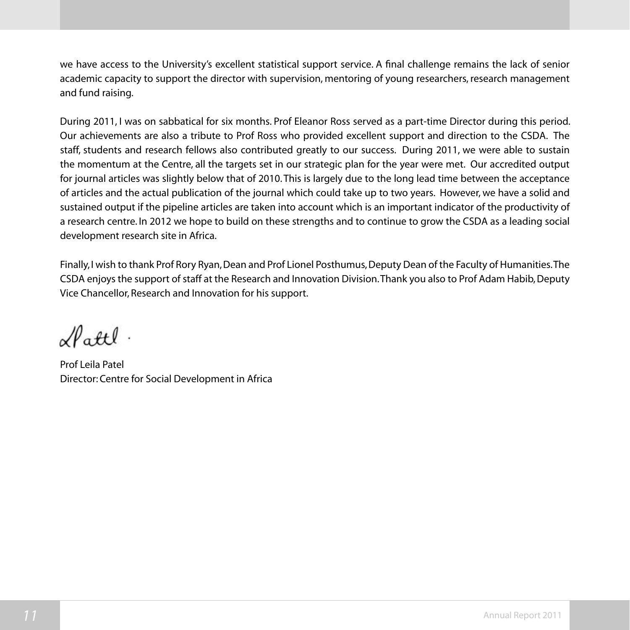we have access to the University's excellent statistical support service. A final challenge remains the lack of senior academic capacity to support the director with supervision, mentoring of young researchers, research management and fund raising.

During 2011, I was on sabbatical for six months. Prof Eleanor Ross served as a part-time Director during this period. Our achievements are also a tribute to Prof Ross who provided excellent support and direction to the CSDA. The staff, students and research fellows also contributed greatly to our success. During 2011, we were able to sustain the momentum at the Centre, all the targets set in our strategic plan for the year were met. Our accredited output for journal articles was slightly below that of 2010. This is largely due to the long lead time between the acceptance of articles and the actual publication of the journal which could take up to two years. However, we have a solid and sustained output if the pipeline articles are taken into account which is an important indicator of the productivity of a research centre. In 2012 we hope to build on these strengths and to continue to grow the CSDA as a leading social development research site in Africa.

Finally, I wish to thank Prof Rory Ryan, Dean and Prof Lionel Posthumus, Deputy Dean of the Faculty of Humanities. The CSDA enjoys the support of staff at the Research and Innovation Division. Thank you also to Prof Adam Habib, Deputy Vice Chancellor, Research and Innovation for his support.

 $\mathcal{N}$ attl

Prof Leila Patel Director: Centre for Social Development in Africa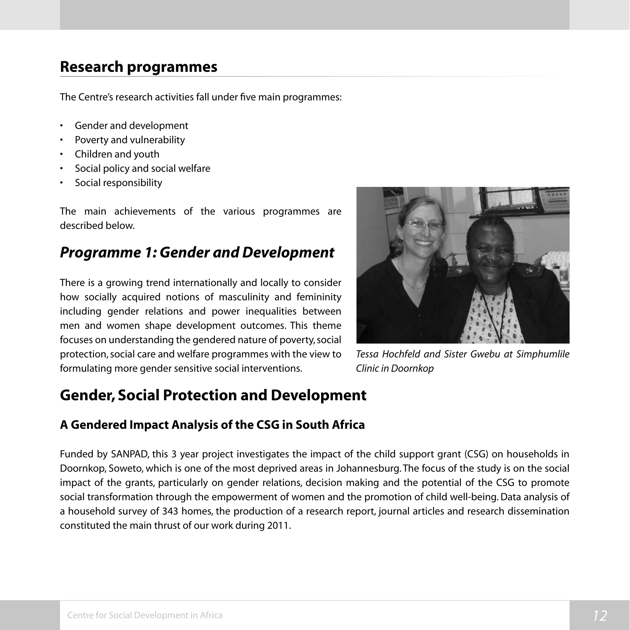# **Research programmes**

The Centre's research activities fall under five main programmes:

- Gender and development
- Poverty and vulnerability
- • Children and youth
- Social policy and social welfare
- Social responsibility

The main achievements of the various programmes are described below.

# *Programme 1: Gender and Development*

There is a growing trend internationally and locally to consider how socially acquired notions of masculinity and femininity including gender relations and power inequalities between men and women shape development outcomes. This theme focuses on understanding the gendered nature of poverty, social protection, social care and welfare programmes with the view to formulating more gender sensitive social interventions.



*Tessa Hochfeld and Sister Gwebu at Simphumlile Clinic in Doornkop*

# **Gender, Social Protection and Development**

#### **A Gendered Impact Analysis of the CSG in South Africa**

Funded by SANPAD, this 3 year project investigates the impact of the child support grant (CSG) on households in Doornkop, Soweto, which is one of the most deprived areas in Johannesburg. The focus of the study is on the social impact of the grants, particularly on gender relations, decision making and the potential of the CSG to promote social transformation through the empowerment of women and the promotion of child well-being. Data analysis of a household survey of 343 homes, the production of a research report, journal articles and research dissemination constituted the main thrust of our work during 2011.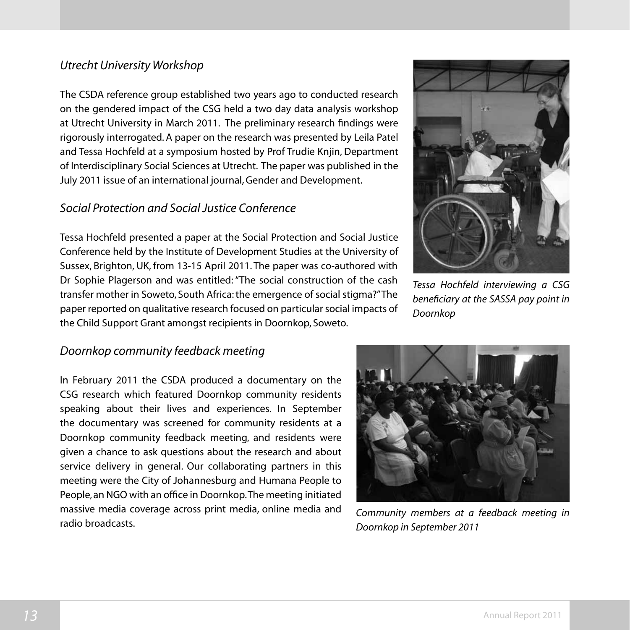#### *Utrecht University Workshop*

The CSDA reference group established two years ago to conducted research on the gendered impact of the CSG held a two day data analysis workshop at Utrecht University in March 2011. The preliminary research findings were rigorously interrogated. A paper on the research was presented by Leila Patel and Tessa Hochfeld at a symposium hosted by Prof Trudie Knjin, Department of Interdisciplinary Social Sciences at Utrecht. The paper was published in the July 2011 issue of an international journal, Gender and Development.

#### *Social Protection and Social Justice Conference*

Tessa Hochfeld presented a paper at the Social Protection and Social Justice Conference held by the Institute of Development Studies at the University of Sussex, Brighton, UK, from 13-15 April 2011. The paper was co-authored with Dr Sophie Plagerson and was entitled: "The social construction of the cash transfer mother in Soweto, South Africa: the emergence of social stigma?" The paper reported on qualitative research focused on particular social impacts of the Child Support Grant amongst recipients in Doornkop, Soweto.



*Tessa Hochfeld interviewing a CSG beneficiary at the SASSA pay point in Doornkop*

#### *Doornkop community feedback meeting*

In February 2011 the CSDA produced a documentary on the CSG research which featured Doornkop community residents speaking about their lives and experiences. In September the documentary was screened for community residents at a Doornkop community feedback meeting, and residents were given a chance to ask questions about the research and about service delivery in general. Our collaborating partners in this meeting were the City of Johannesburg and Humana People to People, an NGO with an office in Doornkop. The meeting initiated massive media coverage across print media, online media and radio broadcasts.



*Community members at a feedback meeting in Doornkop in September 2011*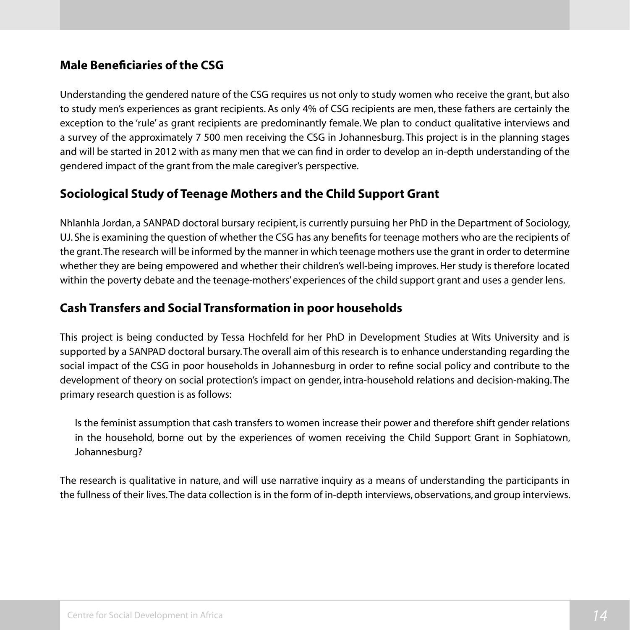#### **Male Beneficiaries of the CSG**

Understanding the gendered nature of the CSG requires us not only to study women who receive the grant, but also to study men's experiences as grant recipients. As only 4% of CSG recipients are men, these fathers are certainly the exception to the 'rule' as grant recipients are predominantly female. We plan to conduct qualitative interviews and a survey of the approximately 7 500 men receiving the CSG in Johannesburg. This project is in the planning stages and will be started in 2012 with as many men that we can find in order to develop an in-depth understanding of the gendered impact of the grant from the male caregiver's perspective.

#### **Sociological Study of Teenage Mothers and the Child Support Grant**

Nhlanhla Jordan, a SANPAD doctoral bursary recipient, is currently pursuing her PhD in the Department of Sociology, UJ. She is examining the question of whether the CSG has any benefits for teenage mothers who are the recipients of the grant. The research will be informed by the manner in which teenage mothers use the grant in order to determine whether they are being empowered and whether their children's well-being improves. Her study is therefore located within the poverty debate and the teenage-mothers' experiences of the child support grant and uses a gender lens.

#### **Cash Transfers and Social Transformation in poor households**

This project is being conducted by Tessa Hochfeld for her PhD in Development Studies at Wits University and is supported by a SANPAD doctoral bursary. The overall aim of this research is to enhance understanding regarding the social impact of the CSG in poor households in Johannesburg in order to refine social policy and contribute to the development of theory on social protection's impact on gender, intra-household relations and decision-making. The primary research question is as follows:

Is the feminist assumption that cash transfers to women increase their power and therefore shift gender relations in the household, borne out by the experiences of women receiving the Child Support Grant in Sophiatown, Johannesburg?

The research is qualitative in nature, and will use narrative inquiry as a means of understanding the participants in the fullness of their lives. The data collection is in the form of in-depth interviews, observations, and group interviews.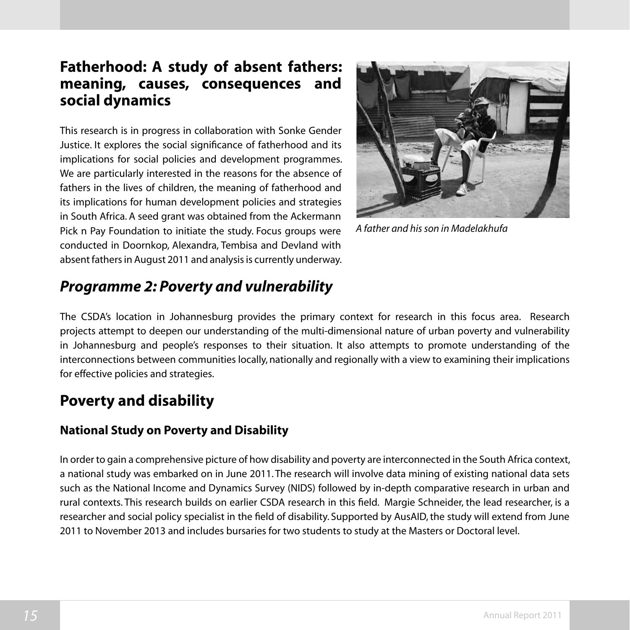# **Fatherhood: A study of absent fathers: meaning, causes, consequences and social dynamics**

This research is in progress in collaboration with Sonke Gender Justice. It explores the social significance of fatherhood and its implications for social policies and development programmes. We are particularly interested in the reasons for the absence of fathers in the lives of children, the meaning of fatherhood and its implications for human development policies and strategies in South Africa. A seed grant was obtained from the Ackermann Pick n Pay Foundation to initiate the study. Focus groups were conducted in Doornkop, Alexandra, Tembisa and Devland with absent fathers in August 2011 and analysis is currently underway.



*A father and his son in Madelakhufa*

# *Programme 2: Poverty and vulnerability*

The CSDA's location in Johannesburg provides the primary context for research in this focus area. Research projects attempt to deepen our understanding of the multi-dimensional nature of urban poverty and vulnerability in Johannesburg and people's responses to their situation. It also attempts to promote understanding of the interconnections between communities locally, nationally and regionally with a view to examining their implications for effective policies and strategies.

# **Poverty and disability**

#### **National Study on Poverty and Disability**

In order to gain a comprehensive picture of how disability and poverty are interconnected in the South Africa context, a national study was embarked on in June 2011. The research will involve data mining of existing national data sets such as the National Income and Dynamics Survey (NIDS) followed by in-depth comparative research in urban and rural contexts. This research builds on earlier CSDA research in this field. Margie Schneider, the lead researcher, is a researcher and social policy specialist in the field of disability. Supported by AusAID, the study will extend from June 2011 to November 2013 and includes bursaries for two students to study at the Masters or Doctoral level.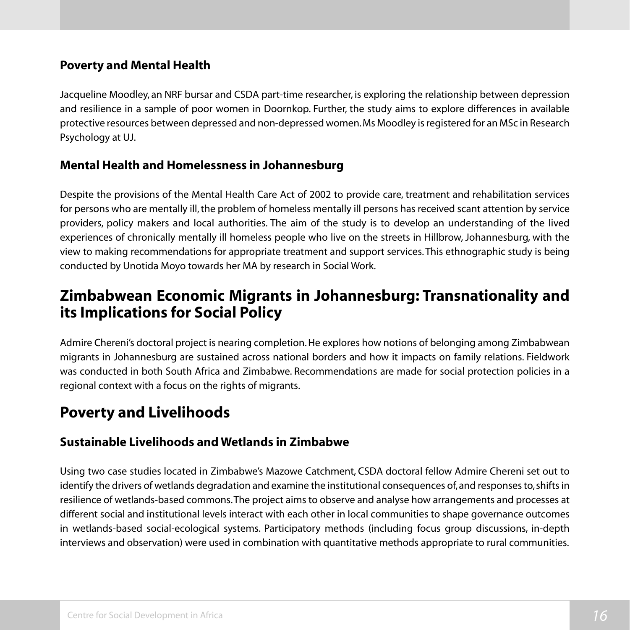#### **Poverty and Mental Health**

Jacqueline Moodley, an NRF bursar and CSDA part-time researcher, is exploring the relationship between depression and resilience in a sample of poor women in Doornkop. Further, the study aims to explore differences in available protective resources between depressed and non-depressed women. Ms Moodley is registered for an MSc in Research Psychology at UJ.

#### **Mental Health and Homelessness in Johannesburg**

Despite the provisions of the Mental Health Care Act of 2002 to provide care, treatment and rehabilitation services for persons who are mentally ill, the problem of homeless mentally ill persons has received scant attention by service providers, policy makers and local authorities. The aim of the study is to develop an understanding of the lived experiences of chronically mentally ill homeless people who live on the streets in Hillbrow, Johannesburg, with the view to making recommendations for appropriate treatment and support services. This ethnographic study is being conducted by Unotida Moyo towards her MA by research in Social Work.

### **Zimbabwean Economic Migrants in Johannesburg: Transnationality and its Implications for Social Policy**

Admire Chereni's doctoral project is nearing completion.He explores how notions of belonging among Zimbabwean migrants in Johannesburg are sustained across national borders and how it impacts on family relations. Fieldwork was conducted in both South Africa and Zimbabwe. Recommendations are made for social protection policies in a regional context with a focus on the rights of migrants.

# **Poverty and Livelihoods**

#### **Sustainable Livelihoods and Wetlands in Zimbabwe**

Using two case studies located in Zimbabwe's Mazowe Catchment, CSDA doctoral fellow Admire Chereni set out to identify the drivers of wetlands degradation and examine the institutional consequences of, and responses to, shifts in resilience of wetlands-based commons. The project aims to observe and analyse how arrangements and processes at different social and institutional levels interact with each other in local communities to shape governance outcomes in wetlands-based social-ecological systems. Participatory methods (including focus group discussions, in-depth interviews and observation) were used in combination with quantitative methods appropriate to rural communities.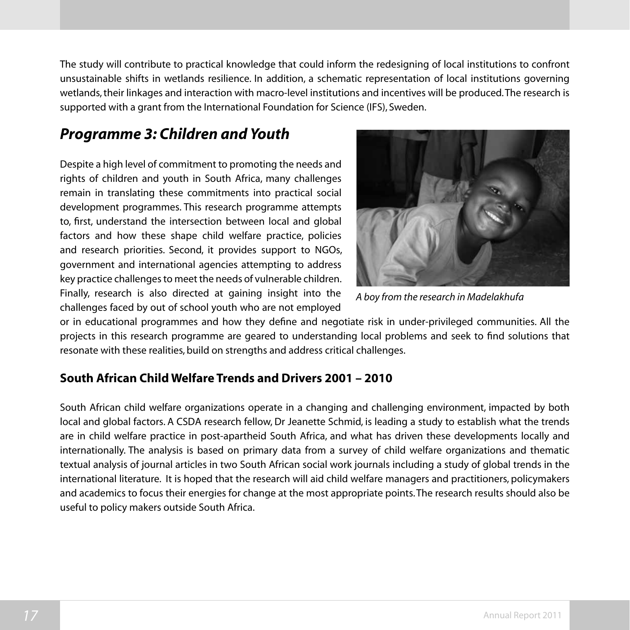The study will contribute to practical knowledge that could inform the redesigning of local institutions to confront unsustainable shifts in wetlands resilience. In addition, a schematic representation of local institutions governing wetlands, their linkages and interaction with macro-level institutions and incentives will be produced. The research is supported with a grant from the International Foundation for Science (IFS), Sweden.

# *Programme 3: Children and Youth*

Despite a high level of commitment to promoting the needs and rights of children and youth in South Africa, many challenges remain in translating these commitments into practical social development programmes. This research programme attempts to, first, understand the intersection between local and global factors and how these shape child welfare practice, policies and research priorities. Second, it provides support to NGOs, government and international agencies attempting to address key practice challenges to meet the needs of vulnerable children. Finally, research is also directed at gaining insight into the challenges faced by out of school youth who are not employed



*A boy from the research in Madelakhufa*

or in educational programmes and how they define and negotiate risk in under-privileged communities. All the projects in this research programme are geared to understanding local problems and seek to find solutions that resonate with these realities, build on strengths and address critical challenges.

#### **South African Child Welfare Trends and Drivers 2001 – 2010**

South African child welfare organizations operate in a changing and challenging environment, impacted by both local and global factors. A CSDA research fellow, Dr Jeanette Schmid, is leading a study to establish what the trends are in child welfare practice in post-apartheid South Africa, and what has driven these developments locally and internationally. The analysis is based on primary data from a survey of child welfare organizations and thematic textual analysis of journal articles in two South African social work journals including a study of global trends in the international literature. It is hoped that the research will aid child welfare managers and practitioners, policymakers and academics to focus their energies for change at the most appropriate points. The research results should also be useful to policy makers outside South Africa.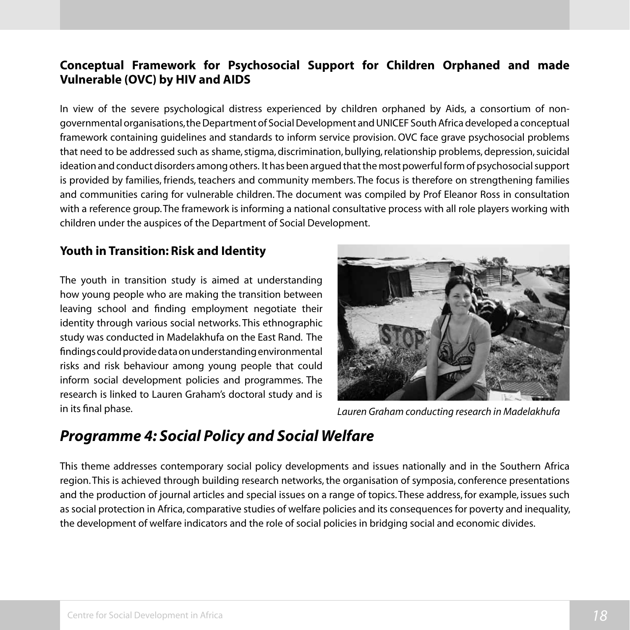#### **Conceptual Framework for Psychosocial Support for Children Orphaned and made Vulnerable (OVC) by HIV and AIDS**

In view of the severe psychological distress experienced by children orphaned by Aids, a consortium of nongovernmental organisations, the Department of Social Development and UNICEF South Africa developed a conceptual framework containing guidelines and standards to inform service provision. OVC face grave psychosocial problems that need to be addressed such as shame, stigma, discrimination, bullying, relationship problems, depression, suicidal ideation and conduct disorders among others. It has been argued that the most powerful form of psychosocial support is provided by families, friends, teachers and community members. The focus is therefore on strengthening families and communities caring for vulnerable children. The document was compiled by Prof Eleanor Ross in consultation with a reference group. The framework is informing a national consultative process with all role players working with children under the auspices of the Department of Social Development.

#### **Youth in Transition: Risk and Identity**

The youth in transition study is aimed at understanding how young people who are making the transition between leaving school and finding employment negotiate their identity through various social networks. This ethnographic study was conducted in Madelakhufa on the East Rand. The findings could provide data on understanding environmental risks and risk behaviour among young people that could inform social development policies and programmes. The research is linked to Lauren Graham's doctoral study and is in its final phase.



*Lauren Graham conducting research in Madelakhufa*

# *Programme 4: Social Policy and Social Welfare*

This theme addresses contemporary social policy developments and issues nationally and in the Southern Africa region. This is achieved through building research networks, the organisation of symposia, conference presentations and the production of journal articles and special issues on a range of topics.These address, for example, issues such as social protection in Africa, comparative studies of welfare policies and its consequences for poverty and inequality, the development of welfare indicators and the role of social policies in bridging social and economic divides.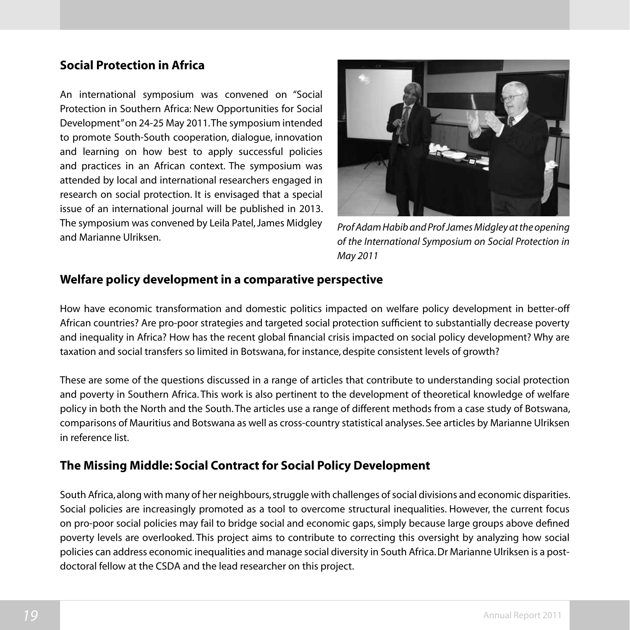#### **Social Protection in Africa**

An international symposium was convened on "Social Protection in Southern Africa: New Opportunities for Social Development" on 24-25 May 2011. The symposium intended to promote South-South cooperation, dialogue, innovation and learning on how best to apply successful policies and practices in an African context. The symposium was attended by local and international researchers engaged in research on social protection. It is envisaged that a special issue of an international journal will be published in 2013. The symposium was convened by Leila Patel, James Midgley and Marianne Ulriksen.



*Prof Adam Habib and Prof James Midgley at the opening of the International Symposium on Social Protection in May 2011*

#### **Welfare policy development in a comparative perspective**

How have economic transformation and domestic politics impacted on welfare policy development in better-off African countries? Are pro-poor strategies and targeted social protection sufficient to substantially decrease poverty and inequality in Africa? How has the recent global financial crisis impacted on social policy development? Why are taxation and social transfers so limited in Botswana,for instance, despite consistent levels of growth?

These are some of the questions discussed in a range of articles that contribute to understanding social protection and poverty in Southern Africa. This work is also pertinent to the development of theoretical knowledge of welfare policy in both the North and the South. The articles use a range of different methods from a case study of Botswana, comparisons of Mauritius and Botswana as well as cross-country statistical analyses. See articles by Marianne Ulriksen in reference list.

#### **The Missing Middle: Social Contract for Social Policy Development**

South Africa, along with many of her neighbours, struggle with challenges of social divisions and economic disparities. Social policies are increasingly promoted as a tool to overcome structural inequalities. However, the current focus on pro-poor social policies may fail to bridge social and economic gaps, simply because large groups above defined poverty levels are overlooked. This project aims to contribute to correcting this oversight by analyzing how social policies can address economic inequalities and manage social diversity in South Africa. Dr Marianne Ulriksen is a postdoctoral fellow at the CSDA and the lead researcher on this project.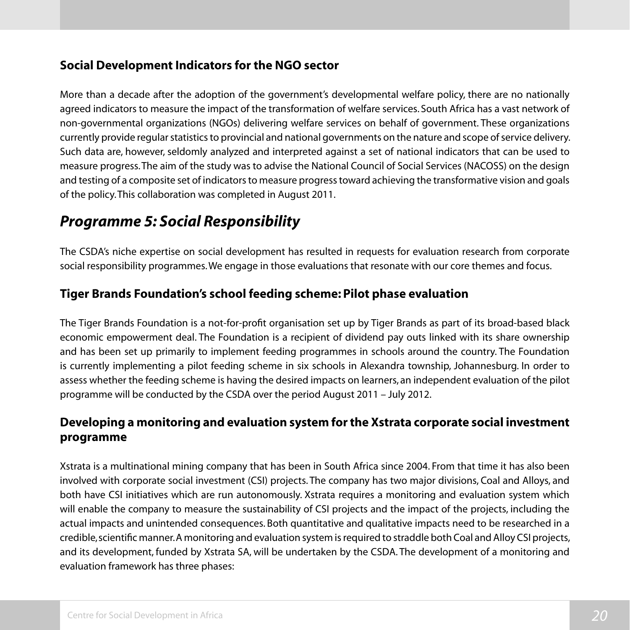#### **Social Development Indicators for the NGO sector**

More than a decade after the adoption of the government's developmental welfare policy, there are no nationally agreed indicators to measure the impact of the transformation of welfare services. South Africa has a vast network of non-governmental organizations (NGOs) delivering welfare services on behalf of government. These organizations currently provide regular statistics to provincial and national governments on the nature and scope of service delivery. Such data are, however, seldomly analyzed and interpreted against a set of national indicators that can be used to measure progress. The aim of the study was to advise the National Council of Social Services (NACOSS) on the design and testing of a composite set of indicators to measure progress toward achieving the transformative vision and goals of the policy. This collaboration was completed in August 2011.

# *Programme 5: Social Responsibility*

The CSDA's niche expertise on social development has resulted in requests for evaluation research from corporate social responsibility programmes. We engage in those evaluations that resonate with our core themes and focus.

#### **Tiger Brands Foundation's school feeding scheme: Pilot phase evaluation**

The Tiger Brands Foundation is a not-for-profit organisation set up by Tiger Brands as part of its broad-based black economic empowerment deal. The Foundation is a recipient of dividend pay outs linked with its share ownership and has been set up primarily to implement feeding programmes in schools around the country. The Foundation is currently implementing a pilot feeding scheme in six schools in Alexandra township, Johannesburg. In order to assess whether the feeding scheme is having the desired impacts on learners, an independent evaluation of the pilot programme will be conducted by the CSDA over the period August 2011 – July 2012.

#### **Developing a monitoring and evaluation system for the Xstrata corporate social investment programme**

Xstrata is a multinational mining company that has been in South Africa since 2004. From that time it has also been involved with corporate social investment (CSI) projects. The company has two major divisions, Coal and Alloys, and both have CSI initiatives which are run autonomously. Xstrata requires a monitoring and evaluation system which will enable the company to measure the sustainability of CSI projects and the impact of the projects, including the actual impacts and unintended consequences. Both quantitative and qualitative impacts need to be researched in a credible, scientific manner. A monitoring and evaluation system is required to straddle both Coal and Alloy CSI projects, and its development, funded by Xstrata SA, will be undertaken by the CSDA. The development of a monitoring and evaluation framework has three phases: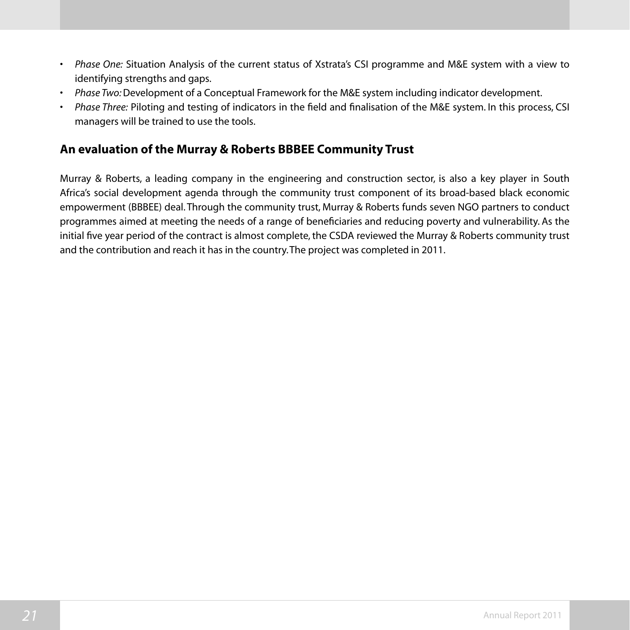- • *Phase One:* Situation Analysis of the current status of Xstrata's CSI programme and M&E system with a view to identifying strengths and gaps.
- • *Phase Two:* Development of a Conceptual Framework for the M&E system including indicator development.
- Phase Three: Piloting and testing of indicators in the field and finalisation of the M&E system. In this process, CSI managers will be trained to use the tools.

#### **An evaluation of the Murray & Roberts BBBEE Community Trust**

Murray & Roberts, a leading company in the engineering and construction sector, is also a key player in South Africa's social development agenda through the community trust component of its broad-based black economic empowerment (BBBEE) deal. Through the community trust, Murray & Roberts funds seven NGO partners to conduct programmes aimed at meeting the needs of a range of beneficiaries and reducing poverty and vulnerability. As the initial five year period of the contract is almost complete, the CSDA reviewed the Murray & Roberts community trust and the contribution and reach it has in the country. The project was completed in 2011.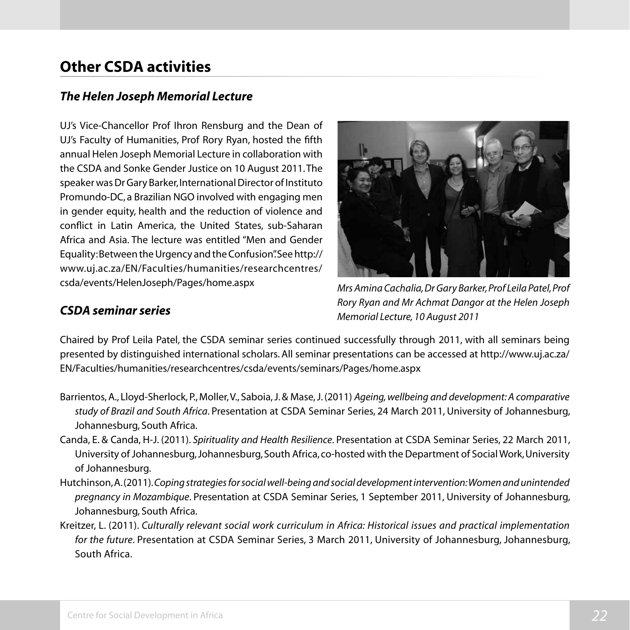# **Other CSDA activities**

#### *The Helen Joseph Memorial Lecture*

UJ's Vice-Chancellor Prof Ihron Rensburg and the Dean of UJ's Faculty of Humanities, Prof Rory Ryan, hosted the fifth annual Helen Joseph Memorial Lecture in collaboration with the CSDA and Sonke Gender Justice on 10 August 2011. The speaker was Dr Gary Barker, International Director of Instituto Promundo-DC, a Brazilian NGO involved with engaging men in gender equity, health and the reduction of violence and conflict in Latin America, the United States, sub-Saharan Africa and Asia. The lecture was entitled "Men and Gender Equality: Between the Urgency and the Confusion". See http:// www.uj.ac.za/EN/Faculties/humanities/researchcentres/ csda/events/HelenJoseph/Pages/home.aspx



*Mrs Amina Cachalia, Dr Gary Barker, Prof Leila Patel, Prof Rory Ryan and Mr Achmat Dangor at the Helen Joseph Memorial Lecture, 10 August 2011*

#### *CSDA seminar series*

Chaired by Prof Leila Patel, the CSDA seminar series continued successfully through 2011, with all seminars being presented by distinguished international scholars. All seminar presentations can be accessed at http://www.uj.ac.za/ EN/Faculties/humanities/researchcentres/csda/events/seminars/Pages/home.aspx

- Barrientos,A., Lloyd-Sherlock, P., Moller,V., Saboia,J.& Mase,J.(2011) *Ageing, wellbeing and development: A comparative study of Brazil and South Africa*. Presentation at CSDA Seminar Series, 24 March 2011, University of Johannesburg, Johannesburg, South Africa.
- Canda, E. & Canda, H-J. (2011). *Spirituality and Health Resilience*. Presentation at CSDA Seminar Series, 22 March 2011, University of Johannesburg, Johannesburg, South Africa, co-hosted with the Department of Social Work, University of Johannesburg.
- Hutchinson, A. (2011). *Coping strategies for social well-being and social development intervention: Women and unintended pregnancy in Mozambique*. Presentation at CSDA Seminar Series, 1 September 2011, University of Johannesburg, Johannesburg, South Africa.
- Kreitzer, L. (2011). *Culturally relevant social work curriculum in Africa: Historical issues and practical implementation for the future*. Presentation at CSDA Seminar Series, 3 March 2011, University of Johannesburg, Johannesburg, South Africa.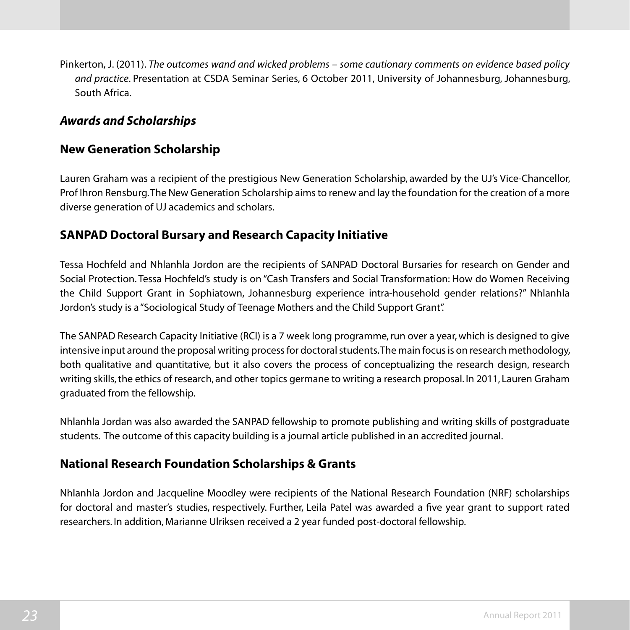Pinkerton, J. (2011). *The outcomes wand and wicked problems – some cautionary comments on evidence based policy and practice*. Presentation at CSDA Seminar Series, 6 October 2011, University of Johannesburg, Johannesburg, South Africa.

#### *Awards and Scholarships*

#### **New Generation Scholarship**

Lauren Graham was a recipient of the prestigious New Generation Scholarship, awarded by the UJ's Vice-Chancellor, Prof Ihron Rensburg. The New Generation Scholarship aims to renew and lay the foundation for the creation of a more diverse generation of UJ academics and scholars.

#### **SANPAD Doctoral Bursary and Research Capacity Initiative**

Tessa Hochfeld and Nhlanhla Jordon are the recipients of SANPAD Doctoral Bursaries for research on Gender and Social Protection. Tessa Hochfeld's study is on "Cash Transfers and Social Transformation: How do Women Receiving the Child Support Grant in Sophiatown, Johannesburg experience intra-household gender relations?" Nhlanhla Jordon's study is a "Sociological Study of Teenage Mothers and the Child Support Grant".

The SANPAD Research Capacity Initiative (RCI) is a 7 week long programme, run over a year, which is designed to give intensive input around the proposal writing process for doctoral students. The main focus is on research methodology, both qualitative and quantitative, but it also covers the process of conceptualizing the research design, research writing skills, the ethics of research, and other topics germane to writing a research proposal. In 2011, Lauren Graham graduated from the fellowship.

Nhlanhla Jordan was also awarded the SANPAD fellowship to promote publishing and writing skills of postgraduate students. The outcome of this capacity building is a journal article published in an accredited journal.

#### **National Research Foundation Scholarships & Grants**

Nhlanhla Jordon and Jacqueline Moodley were recipients of the National Research Foundation (NRF) scholarships for doctoral and master's studies, respectively. Further, Leila Patel was awarded a five year grant to support rated researchers. In addition, Marianne Ulriksen received a 2 year funded post-doctoral fellowship.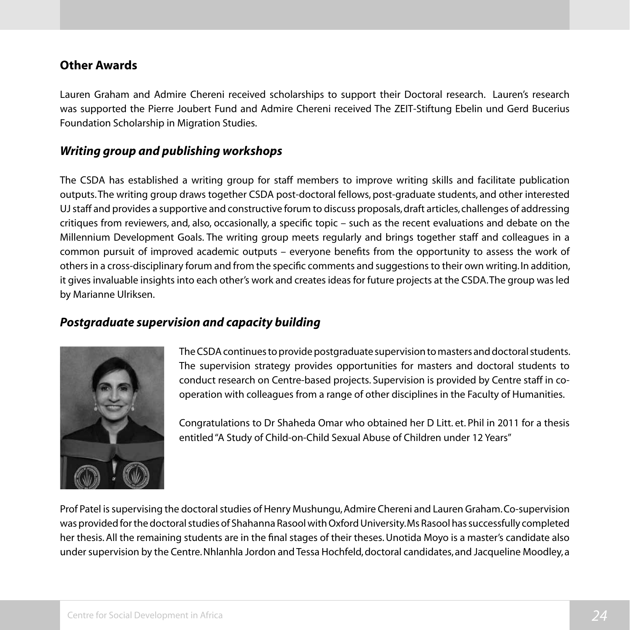#### **Other Awards**

Lauren Graham and Admire Chereni received scholarships to support their Doctoral research. Lauren's research was supported the Pierre Joubert Fund and Admire Chereni received The ZEIT-Stiftung Ebelin und Gerd Bucerius Foundation Scholarship in Migration Studies.

#### *Writing group and publishing workshops*

The CSDA has established a writing group for staff members to improve writing skills and facilitate publication outputs. The writing group draws together CSDA post-doctoral fellows, post-graduate students, and other interested UJ staff and provides a supportive and constructive forum to discuss proposals, draft articles, challenges of addressing critiques from reviewers, and, also, occasionally, a specific topic – such as the recent evaluations and debate on the Millennium Development Goals. The writing group meets regularly and brings together staff and colleagues in a common pursuit of improved academic outputs – everyone benefits from the opportunity to assess the work of others in a cross-disciplinary forum and from the specific comments and suggestions to their own writing. In addition, it gives invaluable insights into each other's work and creates ideas for future projects at the CSDA. The group was led by Marianne Ulriksen.

#### *Postgraduate supervision and capacity building*



The CSDA continues to provide postgraduate supervision to masters and doctoral students. The supervision strategy provides opportunities for masters and doctoral students to conduct research on Centre-based projects. Supervision is provided by Centre staff in cooperation with colleagues from a range of other disciplines in the Faculty of Humanities.

Congratulations to Dr Shaheda Omar who obtained her D Litt. et. Phil in 2011 for a thesis entitled"A Study of Child-on-Child Sexual Abuse of Children under 12 Years"

Prof Patel is supervising the doctoral studies of Henry Mushungu, Admire Chereni and Lauren Graham. Co-supervision wasprovidedforthedoctoralstudies of Shahanna RasoolwithOxfordUniversity.Ms Rasool hassuccessfully completed her thesis. All the remaining students are in the final stages of their theses. Unotida Moyo is a master's candidate also under supervision by the Centre. Nhlanhla Jordon and Tessa Hochfeld, doctoral candidates, and Jacqueline Moodley, a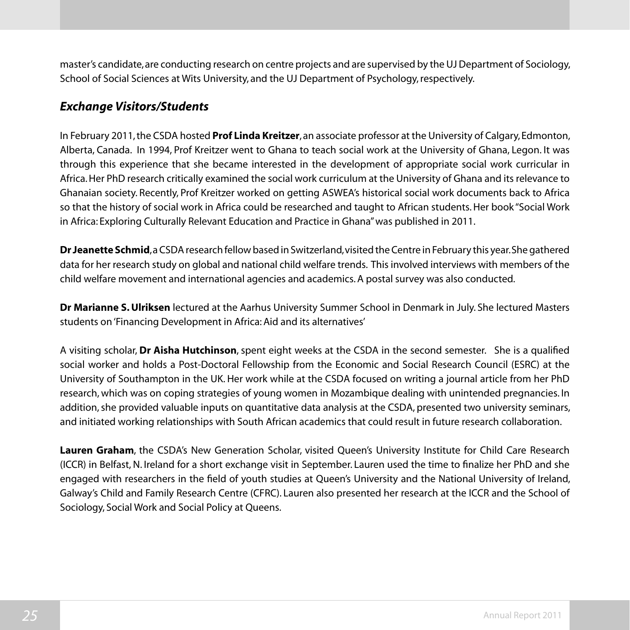master's candidate, are conducting research on centre projects and are supervised by the UJ Department of Sociology, School of Social Sciences at Wits University, and the UJ Department of Psychology, respectively.

#### *Exchange Visitors/Students*

In February 2011, the CSDA hosted **Prof Linda Kreitzer**, an associate professor at the University of Calgary, Edmonton, Alberta, Canada. In 1994, Prof Kreitzer went to Ghana to teach social work at the University of Ghana, Legon. It was through this experience that she became interested in the development of appropriate social work curricular in Africa.Her PhD research critically examined the social work curriculum at the University of Ghana and its relevance to Ghanaian society. Recently, Prof Kreitzer worked on getting ASWEA's historical social work documents back to Africa so that the history of social work in Africa could be researched and taught to African students. Her book "Social Work in Africa: Exploring Culturally Relevant Education and Practice in Ghana"was published in 2011.

**Dr Jeanette Schmid**, a CSDA research fellow based in Switzerland, visited the Centre in February this year. She gathered data for her research study on global and national child welfare trends. This involved interviews with members of the child welfare movement and international agencies and academics. A postal survey was also conducted.

**Dr Marianne S. Ulriksen** lectured at the Aarhus University Summer School in Denmark in July. She lectured Masters students on'Financing Development in Africa:Aid and its alternatives'

A visiting scholar, **Dr Aisha Hutchinson**, spent eight weeks at the CSDA in the second semester. She is a qualified social worker and holds a Post-Doctoral Fellowship from the Economic and Social Research Council (ESRC) at the University of Southampton in the UK. Her work while at the CSDA focused on writing a journal article from her PhD research, which was on coping strategies of young women in Mozambique dealing with unintended pregnancies. In addition, she provided valuable inputs on quantitative data analysis at the CSDA, presented two university seminars, and initiated working relationships with South African academics that could result in future research collaboration.

**Lauren Graham**, the CSDA's New Generation Scholar, visited Queen's University Institute for Child Care Research (ICCR) in Belfast, N. Ireland for a short exchange visit in September. Lauren used the time to finalize her PhD and she engaged with researchers in the field of youth studies at Queen's University and the National University of Ireland, Galway's Child and Family Research Centre (CFRC). Lauren also presented her research at the ICCR and the School of Sociology, Social Work and Social Policy at Queens.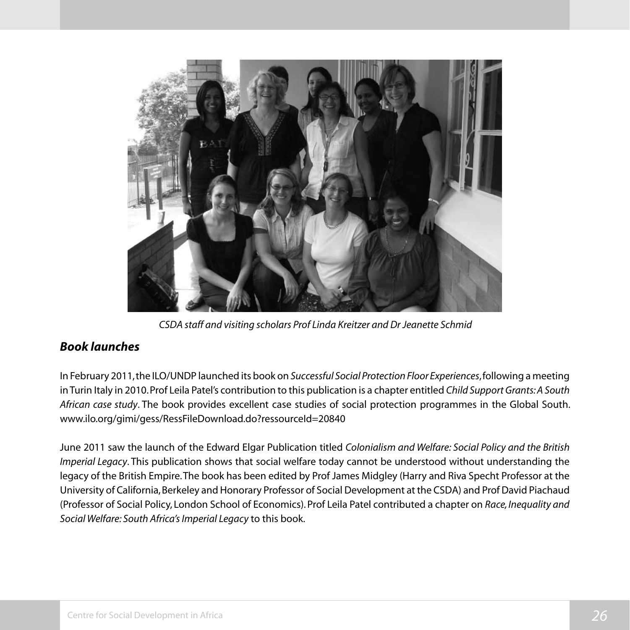

*CSDA staff and visiting scholars Prof Linda Kreitzer and Dr Jeanette Schmid*

#### *Book launches*

In February 2011, the ILO/UNDP launched its book on *Successful Social Protection Floor Experiences*, following a meeting in Turin Italy in 2010. Prof Leila Patel's contribution to this publication is a chapter entitled *Child Support Grants: A South African case study*. The book provides excellent case studies of social protection programmes in the Global South. www.ilo.org/gimi/gess/RessFileDownload.do?ressourceId=20840

June 2011 saw the launch of the Edward Elgar Publication titled *Colonialism and Welfare: Social Policy and the British Imperial Legacy*. This publication shows that social welfare today cannot be understood without understanding the legacy of the British Empire. The book has been edited by Prof James Midgley (Harry and Riva Specht Professor at the University of California, Berkeley and Honorary Professor of Social Development at the CSDA) and Prof David Piachaud (Professor of Social Policy, London School of Economics). Prof Leila Patel contributed a chapter on *Race, Inequality and Social Welfare: South Africa's Imperial Legacy* to this book.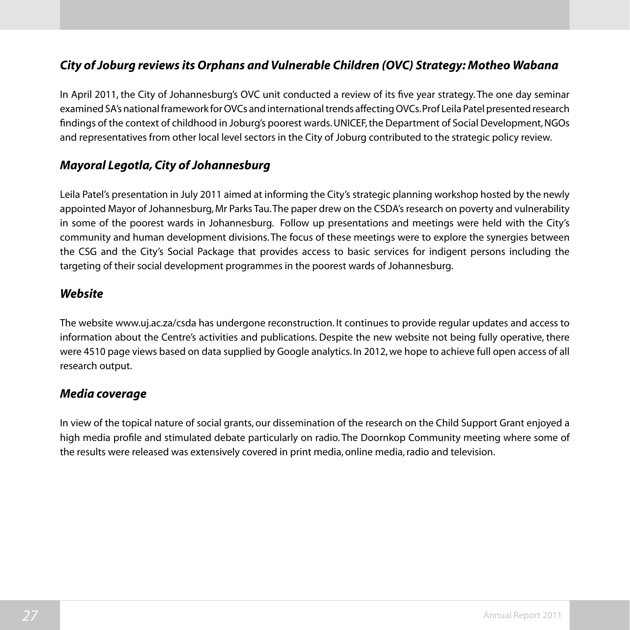#### *City of Joburg reviews its Orphans and Vulnerable Children (OVC) Strategy: Motheo Wabana*

In April 2011, the City of Johannesburg's OVC unit conducted a review of its five year strategy. The one day seminar examined SA's nationalframework forOVCs and internationaltrends affectingOVCs.Prof Leila Patelpresented research findings of the context of childhood in Joburg's poorest wards. UNICEF, the Department of Social Development, NGOs and representatives from other local level sectors in the City of Joburg contributed to the strategic policy review.

#### *Mayoral Legotla, City of Johannesburg*

Leila Patel's presentation in July 2011 aimed at informing the City's strategic planning workshop hosted by the newly appointed Mayor of Johannesburg, Mr Parks Tau. The paper drew on the CSDA's research on poverty and vulnerability in some of the poorest wards in Johannesburg. Follow up presentations and meetings were held with the City's community and human development divisions. The focus of these meetings were to explore the synergies between the CSG and the City's Social Package that provides access to basic services for indigent persons including the targeting of their social development programmes in the poorest wards of Johannesburg.

#### *Website*

The website www.uj.ac.za/csda has undergone reconstruction. It continues to provide regular updates and access to information about the Centre's activities and publications. Despite the new website not being fully operative, there were 4510 page views based on data supplied by Google analytics. In 2012, we hope to achieve full open access of all research output.

#### *Media coverage*

In view of the topical nature of social grants, our dissemination of the research on the Child Support Grant enjoyed a high media profile and stimulated debate particularly on radio. The Doornkop Community meeting where some of the results were released was extensively covered in print media, online media, radio and television.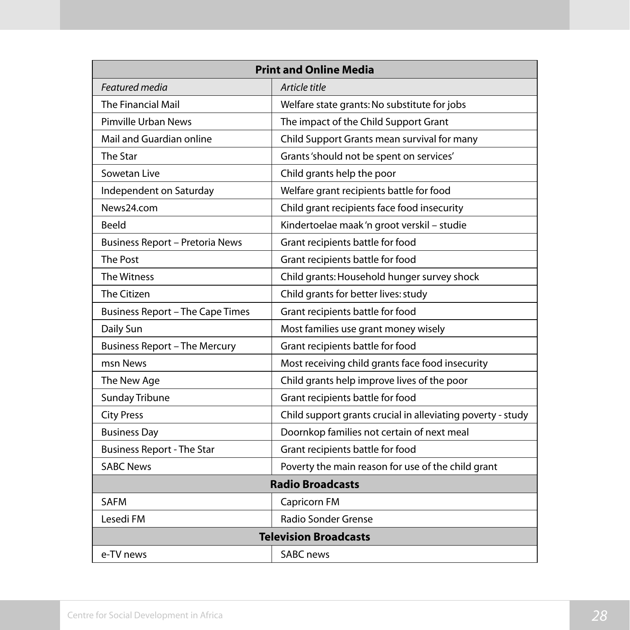| <b>Print and Online Media</b>          |                                                             |  |
|----------------------------------------|-------------------------------------------------------------|--|
| Featured media                         | Article title                                               |  |
| <b>The Financial Mail</b>              | Welfare state grants: No substitute for jobs                |  |
| <b>Pimville Urban News</b>             | The impact of the Child Support Grant                       |  |
| Mail and Guardian online               | Child Support Grants mean survival for many                 |  |
| The Star                               | Grants 'should not be spent on services'                    |  |
| Sowetan Live                           | Child grants help the poor                                  |  |
| Independent on Saturday                | Welfare grant recipients battle for food                    |  |
| News24.com                             | Child grant recipients face food insecurity                 |  |
| Beeld                                  | Kindertoelae maak 'n groot verskil - studie                 |  |
| <b>Business Report - Pretoria News</b> | Grant recipients battle for food                            |  |
| The Post                               | Grant recipients battle for food                            |  |
| The Witness                            | Child grants: Household hunger survey shock                 |  |
| The Citizen                            | Child grants for better lives: study                        |  |
| Business Report - The Cape Times       | Grant recipients battle for food                            |  |
| Daily Sun                              | Most families use grant money wisely                        |  |
| <b>Business Report - The Mercury</b>   | Grant recipients battle for food                            |  |
| msn News                               | Most receiving child grants face food insecurity            |  |
| The New Age                            | Child grants help improve lives of the poor                 |  |
| Sunday Tribune                         | Grant recipients battle for food                            |  |
| <b>City Press</b>                      | Child support grants crucial in alleviating poverty - study |  |
| <b>Business Day</b>                    | Doornkop families not certain of next meal                  |  |
| <b>Business Report - The Star</b>      | Grant recipients battle for food                            |  |
| <b>SABC News</b>                       | Poverty the main reason for use of the child grant          |  |
| <b>Radio Broadcasts</b>                |                                                             |  |
| <b>SAFM</b>                            | Capricorn FM                                                |  |
| Lesedi FM                              | Radio Sonder Grense                                         |  |
| <b>Television Broadcasts</b>           |                                                             |  |
| e-TV news                              | <b>SABC</b> news                                            |  |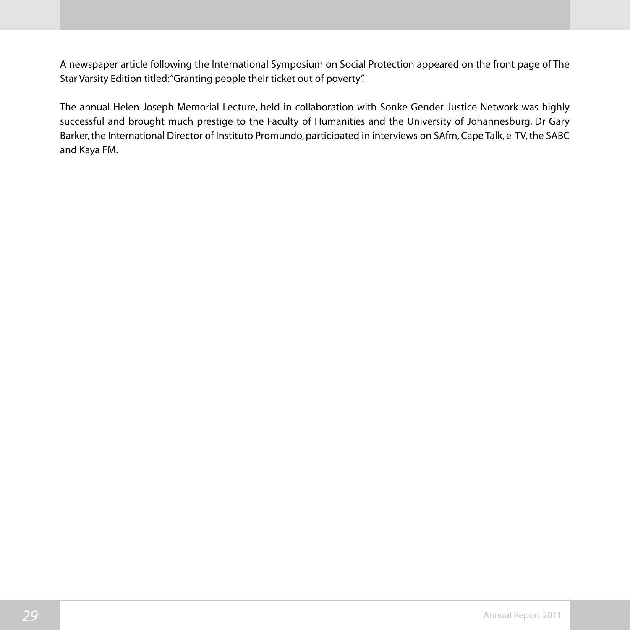A newspaper article following the International Symposium on Social Protection appeared on the front page of The Star Varsity Edition titled: "Granting people their ticket out of poverty".

The annual Helen Joseph Memorial Lecture, held in collaboration with Sonke Gender Justice Network was highly successful and brought much prestige to the Faculty of Humanities and the University of Johannesburg. Dr Gary Barker, the International Director of Instituto Promundo, participated in interviews on SAfm, Cape Talk, e-TV, the SABC and Kaya FM.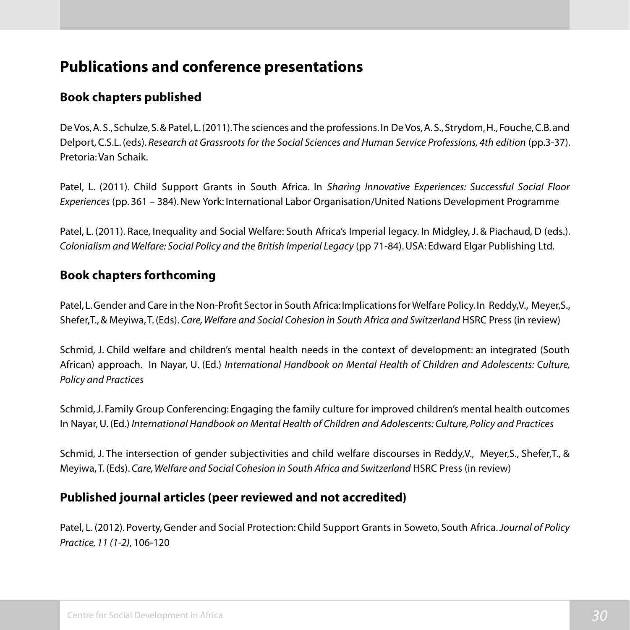# **Publications and conference presentations**

#### **Book chapters published**

De Vos,A.S.,Schulze,S.& Patel, L.(2011).The sciences and the professions.In De Vos,A.S.,Strydom,H.,Fouche,C.B.and Delport, C.S.L. (eds). *Research at Grassroots for the Social Sciences and Human Service Professions, 4th edition* (pp.3-37). Pretoria: Van Schaik.

Patel, L. (2011). Child Support Grants in South Africa. In *Sharing Innovative Experiences: Successful Social Floor Experiences* (pp. 361 – 384).New York: International Labor Organisation/United Nations Development Programme

Patel, L. (2011). Race, Inequality and Social Welfare: South Africa's Imperial legacy. In Midgley, J. & Piachaud, D (eds.). *Colonialism and Welfare: Social Policy and the British Imperial Legacy* (pp 71-84). USA: Edward Elgar Publishing Ltd.

#### **Book chapters forthcoming**

Patel, L. Gender and Care in the Non-Profit Sector in South Africa: Implications for Welfare Policy. In Reddy,V., Meyer,S., Shefer,T., & Meyiwa,T. (Eds). *Care, Welfare and Social Cohesion in South Africa and Switzerland* HSRC Press (in review)

Schmid, J. Child welfare and children's mental health needs in the context of development: an integrated (South African) approach. In Nayar, U. (Ed.) *International Handbook on Mental Health of Children and Adolescents: Culture, Policy and Practices*

Schmid, J. Family Group Conferencing: Engaging the family culture for improved children's mental health outcomes In Nayar, U. (Ed.) *International Handbook on Mental Health of Children and Adolescents: Culture, Policy and Practices*

Schmid, J. The intersection of gender subjectivities and child welfare discourses in Reddy,V., Meyer,S., Shefer,T., & Meyiwa, T. (Eds). *Care, Welfare and Social Cohesion in South Africa and Switzerland* HSRC Press (in review)

#### **Published journal articles (peer reviewed and not accredited)**

Patel, L. (2012). Poverty, Gender and Social Protection: Child Support Grants in Soweto, South Africa. *Journal of Policy Practice, 11 (1-2)*, 106-120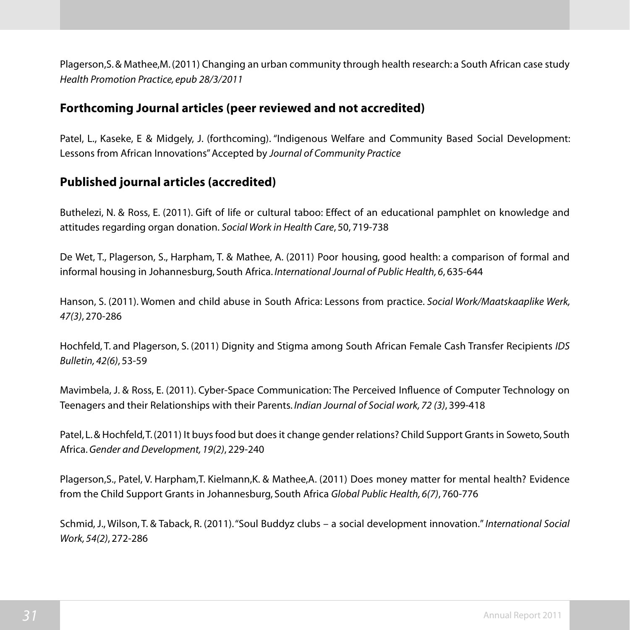Plagerson,S.& Mathee,M.(2011) Changing an urban community through health research: a South African case study *Health Promotion Practice, epub 28/3/2011*

#### **Forthcoming Journal articles (peer reviewed and not accredited)**

Patel, L., Kaseke, E & Midgely, J. (forthcoming). "Indigenous Welfare and Community Based Social Development: Lessons from African Innovations" Accepted by *Journal of Community Practice*

#### **Published journal articles (accredited)**

Buthelezi, N. & Ross, E. (2011). Gift of life or cultural taboo: Effect of an educational pamphlet on knowledge and attitudes regarding organ donation. *Social Work in Health Care*, 50, 719-738

De Wet, T., Plagerson, S., Harpham, T. & Mathee, A. (2011) Poor housing, good health: a comparison of formal and informal housing in Johannesburg, South Africa. *International Journal of Public Health, 6*, 635-644

Hanson, S. (2011). Women and child abuse in South Africa: Lessons from practice. *Social Work/Maatskaaplike Werk, 47(3)*, 270-286

Hochfeld, T. and Plagerson, S. (2011) Dignity and Stigma among South African Female Cash Transfer Recipients *IDS Bulletin, 42(6)*, 53-59

Mavimbela, J. & Ross, E. (2011). Cyber-Space Communication: The Perceived Influence of Computer Technology on Teenagers and their Relationships with their Parents. *Indian Journal of Social work, 72 (3)*, 399-418

Patel, L.& Hochfeld,T.(2011) It buysfood but doesit change gender relations? Child Support Grantsin Soweto, South Africa. *Gender and Development, 19(2)*, 229-240

Plagerson,S., Patel, V. Harpham,T. Kielmann,K. & Mathee,A. (2011) Does money matter for mental health? Evidence from the Child Support Grants in Johannesburg, South Africa *Global Public Health, 6(7)*, 760-776

Schmid, J., Wilson, T. & Taback, R. (2011)."Soul Buddyz clubs – a social development innovation."*International Social Work, 54(2)*, 272-286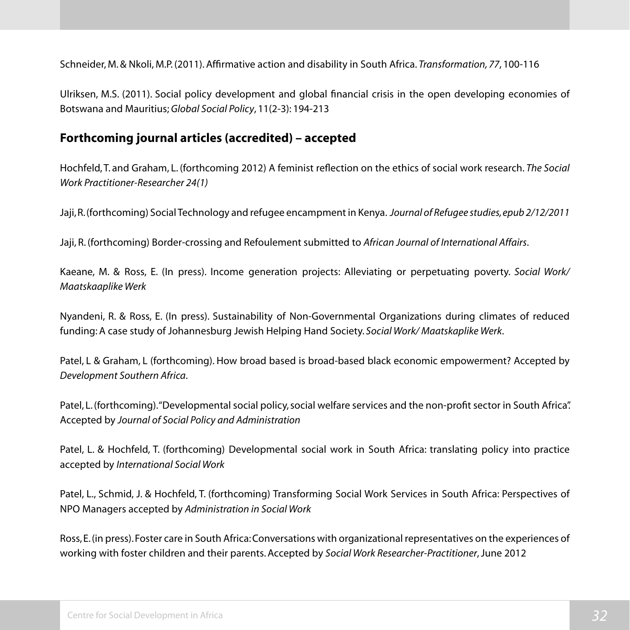Schneider, M.& Nkoli, M.P. (2011).Affirmative action and disability in South Africa. *Transformation, 77*, 100-116

Ulriksen, M.S. (2011). Social policy development and global financial crisis in the open developing economies of Botswana and Mauritius; *Global Social Policy*, 11(2-3): 194-213

#### **Forthcoming journal articles (accredited) – accepted**

Hochfeld, T. and Graham, L. (forthcoming 2012) A feminist reflection on the ethics of social work research. *The Social Work Practitioner-Researcher 24(1)*

Jaji, R. (forthcoming) Social Technology and refugee encampment in Kenya. *Journal of Refugee studies, epub 2/12/2011*

Jaji, R. (forthcoming) Border-crossing and Refoulement submitted to *African Journal of International Affairs*.

Kaeane, M. & Ross, E. (In press). Income generation projects: Alleviating or perpetuating poverty. *Social Work/ Maatskaaplike Werk*

Nyandeni, R. & Ross, E. (In press). Sustainability of Non-Governmental Organizations during climates of reduced funding: A case study of Johannesburg Jewish Helping Hand Society. *Social Work/ Maatskaplike Werk*.

Patel, L & Graham, L (forthcoming). How broad based is broad-based black economic empowerment? Accepted by *Development Southern Africa*.

Patel, L. (forthcoming). "Developmental social policy, social welfare services and the non-profit sector in South Africa". Accepted by *Journal of Social Policy and Administration*

Patel, L. & Hochfeld, T. (forthcoming) Developmental social work in South Africa: translating policy into practice accepted by *International Social Work*

Patel, L., Schmid, J. & Hochfeld, T. (forthcoming) Transforming Social Work Services in South Africa: Perspectives of NPO Managers accepted by *Administration in Social Work*

Ross,E.(in press).Foster care in South Africa:Conversations with organizational representatives on the experiences of working with foster children and their parents. Accepted by *Social Work Researcher-Practitioner*, June 2012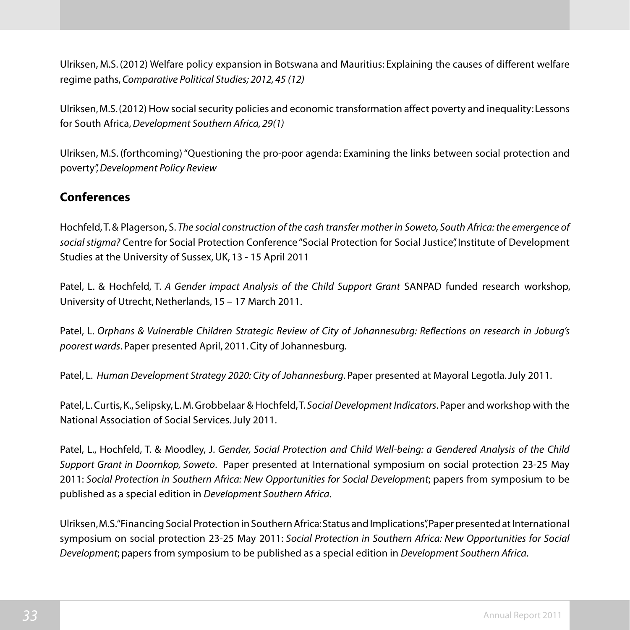Ulriksen, M.S. (2012) Welfare policy expansion in Botswana and Mauritius: Explaining the causes of different welfare regime paths, *Comparative Political Studies; 2012, 45 (12)* 

Ulriksen, M.S. (2012) How social security policies and economic transformation affect poverty and inequality: Lessons for South Africa, *Development Southern Africa, 29(1)* 

Ulriksen, M.S. (forthcoming)"Questioning the pro-poor agenda: Examining the links between social protection and poverty", *Development Policy Review* 

#### **Conferences**

Hochfeld,T.& Plagerson, S. *The social construction of the cash transfer mother in Soweto, South Africa: the emergence of social stigma?* Centre for Social Protection Conference "Social Protection for Social Justice", Institute of Development Studies at the University of Sussex,UK, 13 - 15 April 2011

Patel, L. & Hochfeld, T. *A Gender impact Analysis of the Child Support Grant* SANPAD funded research workshop, University of Utrecht, Netherlands, 15 – 17 March 2011.

Patel, L. *Orphans & Vulnerable Children Strategic Review of City of Johannesubrg: Reflections on research in Joburg's poorest wards*. Paper presented April, 2011. City of Johannesburg.

Patel, L. *Human Development Strategy 2020: City of Johannesburg*. Paper presented at Mayoral Legotla. July 2011.

Patel, L.Curtis,K., Selipsky, L.M.Grobbelaar & Hochfeld,T. *Social Development Indicators*. Paper and workshop with the National Association of Social Services. July 2011.

Patel, L., Hochfeld, T. & Moodley, J. *Gender, Social Protection and Child Well-being: a Gendered Analysis of the Child Support Grant in Doornkop, Soweto*. Paper presented at International symposium on social protection 23-25 May 2011: *Social Protection in Southern Africa: New Opportunities for Social Development*; papers from symposium to be published as a special edition in *Development Southern Africa*.

Ulriksen, M.S. "Financing Social Protection in Southern Africa: Status and Implications", Paper presented at International symposium on social protection 23-25 May 2011: *Social Protection in Southern Africa: New Opportunities for Social Development*; papers from symposium to be published as a special edition in *Development Southern Africa*.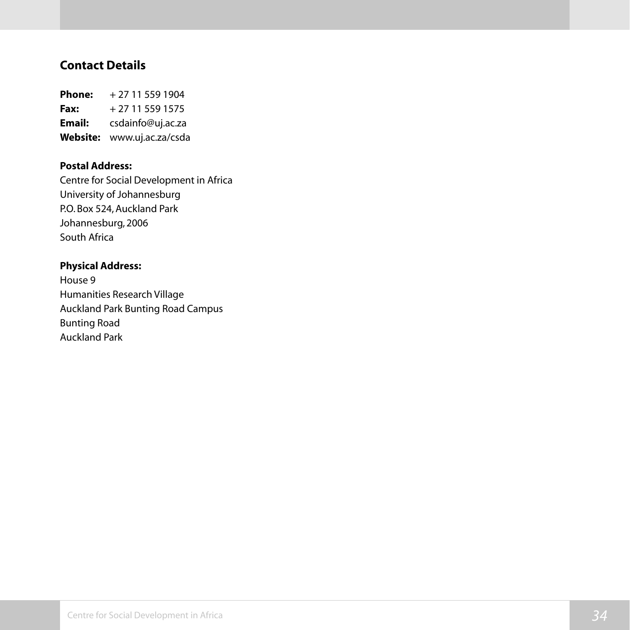#### **Contact Details**

**Phone:** + 27 11 559 1904 **Fax:**  $+27115591575$ **Email:** csdainfo@uj.ac.za **Website:** www.uj.ac.za/csda

#### **Postal Address:**

Centre for Social Development in Africa University of Johannesburg P.O. Box 524, Auckland Park Johannesburg, 2006 South Africa

#### **Physical Address:**

House 9 Humanities Research Village Auckland Park Bunting Road Campus Bunting Road Auckland Park